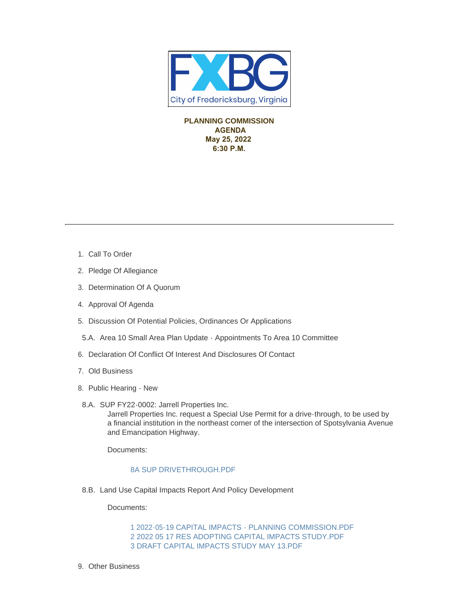

**PLANNING COMMISSION AGENDA May 25, 2022 6:30 P.M.** 

- 1. Call To Order
- 2. Pledge Of Allegiance
- 3. Determination Of A Quorum
- 4. Approval Of Agenda
- 5. Discussion Of Potential Policies, Ordinances Or Applications
- 5.A. Area 10 Small Area Plan Update Appointments To Area 10 Committee
- 6. Declaration Of Conflict Of Interest And Disclosures Of Contact
- Old Business 7.
- 8. Public Hearing New
- 8.A. SUP FY22-0002: Jarrell Properties Inc. Jarrell Properties Inc. request a Special Use Permit for a drive-through, to be used by a financial institution in the northeast corner of the intersection of Spotsylvania Avenue and Emancipation Highway.

Documents:

## [8A SUP DRIVETHROUGH.PDF](https://www.fredericksburgva.gov/AgendaCenter/ViewFile/Item/15331?fileID=12425)

8.B. Land Use Capital Impacts Report And Policy Development

Documents:

[1 2022-05-19 CAPITAL IMPACTS - PLANNING COMMISSION.PDF](https://www.fredericksburgva.gov/AgendaCenter/ViewFile/Item/15336?fileID=12426) [2 2022 05 17 RES ADOPTING CAPITAL IMPACTS STUDY.PDF](https://www.fredericksburgva.gov/AgendaCenter/ViewFile/Item/15336?fileID=12427) [3 DRAFT CAPITAL IMPACTS STUDY MAY 13.PDF](https://www.fredericksburgva.gov/AgendaCenter/ViewFile/Item/15336?fileID=12428)

9. Other Business